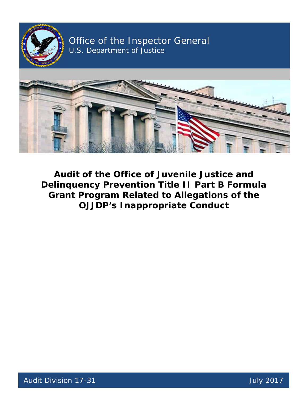

Office of the Inspector General U.S. Department of Justice



**Audit of the Office of Juvenile Justice and Delinquency Prevention Title II Part B Formula Grant Program Related to Allegations of the OJJDP's Inappropriate Conduct** 

Audit Division 17-31 and the state of the state of the state of the state of the state of the state of the state of the state of the state of the state of the state of the state of the state of the state of the state of th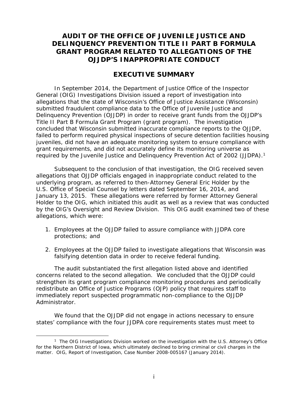# **AUDIT OF THE OFFICE OF JUVENILE JUSTICE AND DELINQUENCY PREVENTION TITLE II PART B FORMULA GRANT PROGRAM RELATED TO ALLEGATIONS OF THE OJJDP'S INAPPROPRIATE CONDUCT**

# **EXECUTIVE SUMMARY**

 allegations that the state of Wisconsin's Office of Justice Assistance (Wisconsin) required by the *Juvenile Justice and Delinquency Prevention Act of 2002* (JJDPA).1 In September 2014, the Department of Justice Office of the Inspector General (OIG) Investigations Division issued a report of investigation into submitted fraudulent compliance data to the Office of Juvenile Justice and Delinquency Prevention (OJJDP) in order to receive grant funds from the OJJDP's Title II Part B Formula Grant Program (grant program). The investigation concluded that Wisconsin submitted inaccurate compliance reports to the OJJDP, failed to perform required physical inspections of secure detention facilities housing juveniles, did not have an adequate monitoring system to ensure compliance with grant requirements, and did not accurately define its monitoring universe as

Subsequent to the conclusion of that investigation, the OIG received seven allegations that OJJDP officials engaged in inappropriate conduct related to the underlying program, as referred to then-Attorney General Eric Holder by the U.S. Office of Special Counsel by letters dated September 16, 2014, and January 13, 2015. These allegations were referred by former Attorney General Holder to the OIG, which initiated this audit as well as a review that was conducted by the OIG's Oversight and Review Division. This OIG audit examined two of these allegations, which were:

- 1. Employees at the OJJDP failed to assure compliance with JJDPA core protections; and
- 2. Employees at the OJJDP failed to investigate allegations that Wisconsin was falsifying detention data in order to receive federal funding.

The audit substantiated the first allegation listed above and identified concerns related to the second allegation. We concluded that the OJJDP could strengthen its grant program compliance monitoring procedures and periodically redistribute an Office of Justice Programs (OJP) policy that requires staff to immediately report suspected programmatic non-compliance to the OJJDP Administrator.

We found that the OJJDP did not engage in actions necessary to ensure states' compliance with the four JJDPA core requirements states must meet to

<sup>-</sup><sup>1</sup> The OIG Investigations Division worked on the investigation with the U.S. Attorney's Office for the Northern District of Iowa, which ultimately declined to bring criminal or civil charges in the matter. OIG, *Report of Investigation,* Case Number 2008-005167 (January 2014).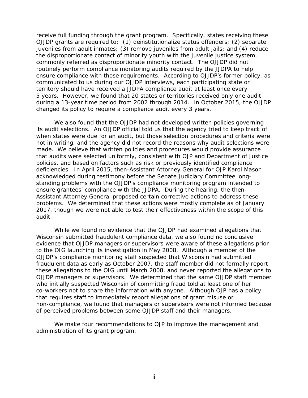during a 13-year time period from 2002 through 2014. In October 2015, the OJJDP changed its policy to require a compliance audit every 3 years. receive full funding through the grant program. Specifically, states receiving these OJJDP grants are required to: (1) deinstitutionalize status offenders; (2) separate juveniles from adult inmates; (3) remove juveniles from adult jails; and (4) reduce the disproportionate contact of minority youth with the juvenile justice system, commonly referred as disproportionate minority contact. The OJJDP did not routinely perform compliance monitoring audits required by the JJDPA to help ensure compliance with those requirements. According to OJJDP's former policy, as communicated to us during our OJJDP interviews, each participating state or territory should have received a JJDPA compliance audit at least once every 5 years. However, we found that 20 states or territories received only one audit

We also found that the OJJDP had not developed written policies governing its audit selections. An OJJDP official told us that the agency tried to keep track of when states were due for an audit, but those selection procedures and criteria were not in writing, and the agency did not record the reasons why audit selections were made. We believe that written policies and procedures would provide assurance that audits were selected uniformly, consistent with OJP and Department of Justice policies, and based on factors such as risk or previously identified compliance deficiencies. In April 2015, then-Assistant Attorney General for OJP Karol Mason acknowledged during testimony before the Senate Judiciary Committee longstanding problems with the OJJDP's compliance monitoring program intended to ensure grantees' compliance with the JJDPA. During the hearing, the then-Assistant Attorney General proposed certain corrective actions to address these problems. We determined that these actions were mostly complete as of January 2017, though we were not able to test their effectiveness within the scope of this audit.

While we found no evidence that the OJJDP had examined allegations that Wisconsin submitted fraudulent compliance data, we also found no conclusive evidence that OJJDP managers or supervisors were aware of these allegations prior to the OIG launching its investigation in May 2008. Although a member of the OJJDP's compliance monitoring staff suspected that Wisconsin had submitted fraudulent data as early as October 2007, the staff member did not formally report these allegations to the OIG until March 2008, and never reported the allegations to OJJDP managers or supervisors. We determined that the same OJJDP staff member who initially suspected Wisconsin of committing fraud told at least one of her co-workers not to share the information with anyone. Although OJP has a policy that requires staff to immediately report allegations of grant misuse or non-compliance, we found that managers or supervisors were not informed because of perceived problems between some OJJDP staff and their managers.

We make four recommendations to OJP to improve the management and administration of its grant program.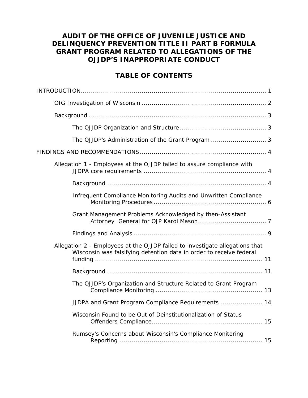# **AUDIT OF THE OFFICE OF JUVENILE JUSTICE AND DELINQUENCY PREVENTION TITLE II PART B FORMULA GRANT PROGRAM RELATED TO ALLEGATIONS OF THE OJJDP'S INAPPROPRIATE CONDUCT**

# **TABLE OF CONTENTS**

| The OJJDP's Administration of the Grant Program3                                                                                                    |
|-----------------------------------------------------------------------------------------------------------------------------------------------------|
|                                                                                                                                                     |
| Allegation 1 - Employees at the OJJDP failed to assure compliance with                                                                              |
|                                                                                                                                                     |
| Infrequent Compliance Monitoring Audits and Unwritten Compliance                                                                                    |
| Grant Management Problems Acknowledged by then-Assistant                                                                                            |
|                                                                                                                                                     |
| Allegation 2 - Employees at the OJJDP failed to investigate allegations that<br>Wisconsin was falsifying detention data in order to receive federal |
|                                                                                                                                                     |
| The OJJDP's Organization and Structure Related to Grant Program                                                                                     |
| JJDPA and Grant Program Compliance Requirements  14                                                                                                 |
| Wisconsin Found to be Out of Deinstitutionalization of Status                                                                                       |
| Rumsey's Concerns about Wisconsin's Compliance Monitoring                                                                                           |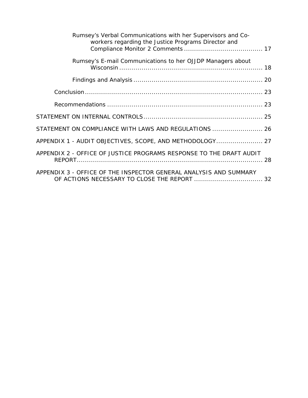| Rumsey's Verbal Communications with her Supervisors and Co-<br>workers regarding the Justice Programs Director and |  |
|--------------------------------------------------------------------------------------------------------------------|--|
| Rumsey's E-mail Communications to her OJJDP Managers about                                                         |  |
|                                                                                                                    |  |
|                                                                                                                    |  |
|                                                                                                                    |  |
|                                                                                                                    |  |
| STATEMENT ON COMPLIANCE WITH LAWS AND REGULATIONS  26                                                              |  |
| APPENDIX 1 - AUDIT OBJECTIVES, SCOPE, AND METHODOLOGY 27                                                           |  |
| APPENDIX 2 - OFFICE OF JUSTICE PROGRAMS RESPONSE TO THE DRAFT AUDIT<br>28                                          |  |
| APPENDIX 3 - OFFICE OF THE INSPECTOR GENERAL ANALYSIS AND SUMMARY                                                  |  |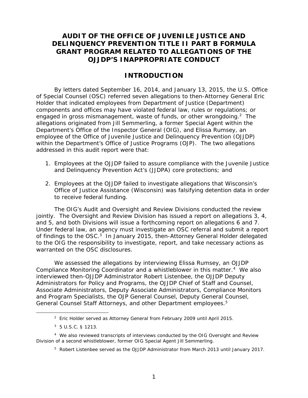# <span id="page-5-0"></span>**AUDIT OF THE OFFICE OF JUVENILE JUSTICE AND DELINQUENCY PREVENTION TITLE II PART B FORMULA GRANT PROGRAM RELATED TO ALLEGATIONS OF THE OJJDP'S INAPPROPRIATE CONDUCT**

# **INTRODUCTION**

 within the Department's Office of Justice Programs (OJP). The two allegations By letters dated September 16, 2014, and January 13, 2015, the U.S. Office of Special Counsel (OSC) referred seven allegations to then-Attorney General Eric Holder that indicated employees from Department of Justice (Department) components and offices may have violated federal law, rules or regulations; or engaged in gross mismanagement, waste of funds, or other wrongdoing.<sup>2</sup> The allegations originated from Jill Semmerling, a former Special Agent within the Department's Office of the Inspector General (OIG), and Elissa Rumsey, an employee of the Office of Juvenile Justice and Delinquency Prevention (OJJDP) addressed in this audit report were that:

- 1. Employees at the OJJDP failed to assure compliance with the *Juvenile Justice and Delinquency Prevention Act's* (JJDPA) core protections; and
- 2. Employees at the OJJDP failed to investigate allegations that Wisconsin's Office of Justice Assistance (Wisconsin) was falsifying detention data in order to receive federal funding.

The OIG's Audit and Oversight and Review Divisions conducted the review jointly. The Oversight and Review Division has issued a report on allegations 3, 4, and 5, and both Divisions will issue a forthcoming report on allegations 6 and 7. Under federal law, an agency must investigate an OSC referral and submit a report of findings to the OSC.<sup>3</sup> In January 2015, then-Attorney General Holder delegated to the OIG the responsibility to investigate, report, and take necessary actions as warranted on the OSC disclosures.

Compliance Monitoring Coordinator and a whistleblower in this matter.<sup>4</sup> We also We assessed the allegations by interviewing Elissa Rumsey, an OJJDP interviewed then-OJJDP Administrator Robert Listenbee, the OJJDP Deputy Administrators for Policy and Programs, the OJJDP Chief of Staff and Counsel, Associate Administrators, Deputy Associate Administrators, Compliance Monitors and Program Specialists, the OJP General Counsel, Deputy General Counsel, General Counsel Staff Attorneys, and other Department employees.5

-

 $5$  Robert Listenbee served as the OJJDP Administrator from March 2013 until January 2017.<br>1

 $^2$  Eric Holder served as Attorney General from February 2009 until April 2015.<br><sup>3</sup> 5 U.S.C. § 1213.

<sup>4</sup> We also reviewed transcripts of interviews conducted by the OIG Oversight and Review Division of a second whistleblower, former OIG Special Agent Jill Semmerling.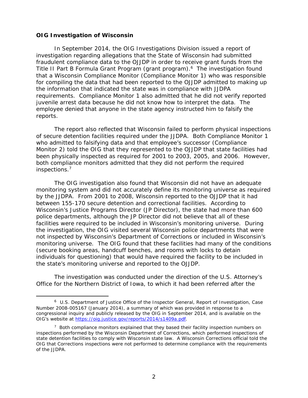#### <span id="page-6-0"></span>**OIG Investigation of Wisconsin**

-

In September 2014, the OIG Investigations Division issued a report of investigation regarding allegations that the State of Wisconsin had submitted fraudulent compliance data to the OJJDP in order to receive grant funds from the Title II Part B Formula Grant Program (grant program).<sup>6</sup> The investigation found that a Wisconsin Compliance Monitor (Compliance Monitor 1) who was responsible for compiling the data that had been reported to the OJJDP admitted to making up the information that indicated the state was in compliance with JJDPA requirements. Compliance Monitor 1 also admitted that he did not verify reported juvenile arrest data because he did not know how to interpret the data. The employee denied that anyone in the state agency instructed him to falsify the reports.

The report also reflected that Wisconsin failed to perform physical inspections of secure detention facilities required under the JJDPA. Both Compliance Monitor 1 who admitted to falsifying data and that employee's successor (Compliance Monitor 2) told the OIG that they represented to the OJJDP that state facilities had been physically inspected as required for 2001 to 2003, 2005, and 2006. However, both compliance monitors admitted that they did not perform the required inspections.7

 facilities were required to be included in Wisconsin's monitoring universe. During The OIG investigation also found that Wisconsin did not have an adequate monitoring system and did not accurately define its monitoring universe as required by the JJDPA. From 2001 to 2008, Wisconsin reported to the OJJDP that it had between 155-170 secure detention and correctional facilities. According to Wisconsin's Justice Programs Director (JP Director), the state had more than 600 police departments, although the JP Director did not believe that all of these the investigation, the OIG visited several Wisconsin police departments that were not inspected by Wisconsin's Department of Corrections or included in Wisconsin's monitoring universe. The OIG found that these facilities had many of the conditions (secure booking areas, handcuff benches, and rooms with locks to detain individuals for questioning) that would have required the facility to be included in the state's monitoring universe and reported to the OJJDP.

The investigation was conducted under the direction of the U.S. Attorney's Office for the Northern District of Iowa, to which it had been referred after the

 6 U.S. Department of Justice Office of the Inspector General, *Report of Investigation,* Case Number 2008-005167 (January 2014), a summary of which was provided in response to a congressional inquiry and publicly released by the OIG in September 2014, and is available on the OIG's website at https://oig.justice.gov/reports/2014/s1409a.pdf.

 $7$  Both compliance monitors explained that they based their facility inspection numbers on inspections performed by the Wisconsin Department of Corrections, which performed inspections of state detention facilities to comply with Wisconsin state law. A Wisconsin Corrections official told the OIG that Corrections inspections were not performed to determine compliance with the requirements of the JJDPA.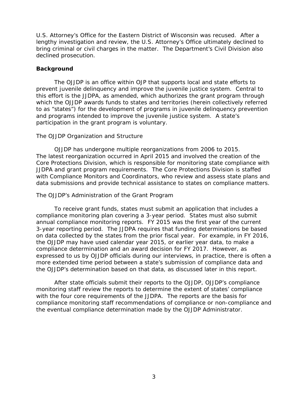<span id="page-7-0"></span>U.S. Attorney's Office for the Eastern District of Wisconsin was recused. After a lengthy investigation and review, the U.S. Attorney's Office ultimately declined to bring criminal or civil charges in the matter. The Department's Civil Division also declined prosecution.

## **Background**

The OJJDP is an office within OJP that supports local and state efforts to prevent juvenile delinquency and improve the juvenile justice system. Central to this effort is the JJDPA, as amended, which authorizes the grant program through which the OJJDP awards funds to states and territories (herein collectively referred to as "states") for the development of programs in juvenile delinquency prevention and programs intended to improve the juvenile justice system. A state's participation in the grant program is voluntary.

### *The OJJDP Organization and Structure*

 OJJDP has undergone multiple reorganizations from 2006 to 2015. Core Protections Division, which is responsible for monitoring state compliance with The latest reorganization occurred in April 2015 and involved the creation of the JJDPA and grant program requirements. The Core Protections Division is staffed with Compliance Monitors and Coordinators, who review and assess state plans and data submissions and provide technical assistance to states on compliance matters.

### *The OJJDP's Administration of the Grant Program*

 annual compliance monitoring reports. FY 2015 was the first year of the current To receive grant funds, states must submit an application that includes a compliance monitoring plan covering a 3-year period. States must also submit 3-year reporting period. The JJDPA requires that funding determinations be based on data collected by the states from the prior fiscal year. For example, in FY 2016, the OJJDP may have used calendar year 2015, or earlier year data, to make a compliance determination and an award decision for FY 2017. However, as expressed to us by OJJDP officials during our interviews, in practice, there is often a more extended time period between a state's submission of compliance data and the OJJDP's determination based on that data, as discussed later in this report.

After state officials submit their reports to the OJJDP, OJJDP's compliance monitoring staff review the reports to determine the extent of states' compliance with the four core requirements of the JJDPA. The reports are the basis for compliance monitoring staff recommendations of compliance or non-compliance and the eventual compliance determination made by the OJJDP Administrator.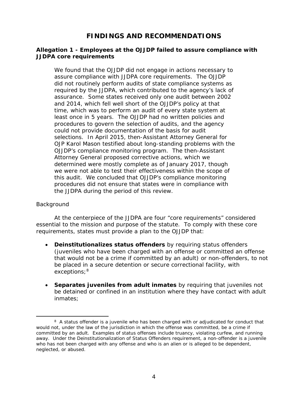# **FINDINGS AND RECOMMENDATIONS**

## <span id="page-8-0"></span>**Allegation 1 - Employees at the OJJDP failed to assure compliance with JJDPA core requirements**

 required by the JJDPA, which contributed to the agency's lack of the JJDPA during the period of this review. We found that the OJJDP did not engage in actions necessary to assure compliance with JJDPA core requirements. The OJJDP did not routinely perform audits of state compliance systems as assurance. Some states received only one audit between 2002 and 2014, which fell well short of the OJJDP's policy at that time, which was to perform an audit of every state system at least once in 5 years. The OJJDP had no written policies and procedures to govern the selection of audits, and the agency could not provide documentation of the basis for audit selections. In April 2015, then-Assistant Attorney General for OJP Karol Mason testified about long-standing problems with the OJJDP's compliance monitoring program. The then-Assistant Attorney General proposed corrective actions, which we determined were mostly complete as of January 2017, though we were not able to test their effectiveness within the scope of this audit. We concluded that OJJDP's compliance monitoring procedures did not ensure that states were in compliance with

## *Background*

-

 essential to the mission and purpose of the statute. To comply with these core At the centerpiece of the JJDPA are four "core requirements" considered requirements, states must provide a plan to the OJJDP that:

- **Deinstitutionalizes status offenders** by requiring status offenders (juveniles who have been charged with an offense or committed an offense that would not be a crime if committed by an adult) or non-offenders, to not be placed in a secure detention or secure correctional facility, with exceptions;<sup>8</sup>
- **Separates juveniles from adult inmates** by requiring that juveniles not be detained or confined in an institution where they have contact with adult inmates;

<sup>&</sup>lt;sup>8</sup> A status offender is a juvenile who has been charged with or adjudicated for conduct that would not, under the law of the jurisdiction in which the offense was committed, be a crime if committed by an adult. Examples of status offenses include truancy, violating curfew, and running away. Under the Deinstitutionalization of Status Offenders requirement, a non-offender is a juvenile who has not been charged with any offense and who is an alien or is alleged to be dependent, neglected, or abused.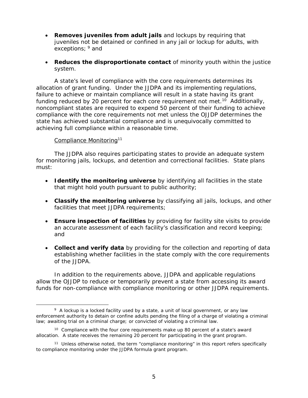- **Removes juveniles from adult jails** and lockups by requiring that juveniles not be detained or confined in any jail or lockup for adults, with exceptions;  $9$  and
- **Reduces the disproportionate contact** of minority youth within the justice system.

funding reduced by 20 percent for each core requirement not met.<sup>10</sup> Additionally, A state's level of compliance with the core requirements determines its allocation of grant funding. Under the JJDPA and its implementing regulations, failure to achieve or maintain compliance will result in a state having its grant noncompliant states are required to expend 50 percent of their funding to achieve compliance with the core requirements not met unless the OJJDP determines the state has achieved substantial compliance and is unequivocally committed to achieving full compliance within a reasonable time.

# Compliance Monitoring11

 $\overline{a}$ 

The JJDPA also requires participating states to provide an adequate system for monitoring jails, lockups, and detention and correctional facilities. State plans must:

- **Identify the monitoring universe** by identifying all facilities in the state that might hold youth pursuant to public authority;
- **Classify the monitoring universe** by classifying all jails, lockups, and other facilities that meet JJDPA requirements;
- **Ensure inspection of facilities** by providing for facility site visits to provide an accurate assessment of each facility's classification and record keeping; and
- **Collect and verify data** by providing for the collection and reporting of data establishing whether facilities in the state comply with the core requirements of the JJDPA.

In addition to the requirements above, JJDPA and applicable regulations allow the OJJDP to reduce or temporarily prevent a state from accessing its award funds for non-compliance with compliance monitoring or other JJDPA requirements.

 law; awaiting trial on a criminal charge; or convicted of violating a criminal law. <sup>9</sup> A lockup is a locked facility used by a state, a unit of local government, or any law enforcement authority to detain or confine adults pending the filing of a charge of violating a criminal

 allocation. A state receives the remaining 20 percent for participating in the grant program. <sup>10</sup> Compliance with the four core requirements make up 80 percent of a state's award

<sup>&</sup>lt;sup>11</sup> Unless otherwise noted, the term "compliance monitoring" in this report refers specifically to compliance monitoring under the JJDPA formula grant program.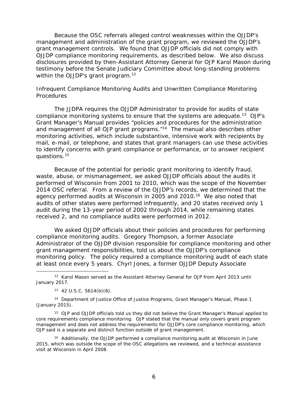<span id="page-10-0"></span>within the OJJDP's grant program.<sup>12</sup> Because the OSC referrals alleged control weaknesses within the OJJDP's management and administration of the grant program, we reviewed the OJJDP's grant management controls. We found that OJJDP officials did not comply with OJJDP compliance monitoring requirements, as described below. We also discuss disclosures provided by then-Assistant Attorney General for OJP Karol Mason during testimony before the Senate Judiciary Committee about long-standing problems

## *Infrequent Compliance Monitoring Audits and Unwritten Compliance Monitoring Procedures*

The JJDPA requires the OJJDP Administrator to provide for audits of state compliance monitoring systems to ensure that the systems are adequate.13 OJP's Grant Manager's Manual provides "policies and procedures for the administration and management of all OJP grant programs."14 The manual also describes other monitoring activities, which include substantive, intensive work with recipients by mail, e-mail, or telephone, and states that grant managers can use these activities to identify concerns with grant compliance or performance, or to answer recipient questions.15

agency performed audits at Wisconsin in 2005 and 2010.<sup>16</sup> We also noted that Because of the potential for periodic grant monitoring to identify fraud, waste, abuse, or mismanagement, we asked OJJDP officials about the audits it performed of Wisconsin from 2001 to 2010, which was the scope of the November 2014 OSC referral. From a review of the OJJDP's records, we determined that the audits of other states were performed infrequently, and 20 states received only 1 audit during the 13-year period of 2002 through 2014, while remaining states received 2, and no compliance audits were performed in 2012.

We asked OJJDP officials about their policies and procedures for performing compliance monitoring audits. Gregory Thompson, a former Associate Administrator of the OJJDP division responsible for compliance monitoring and other grant management responsibilities, told us about the OJJDP's compliance monitoring policy. The policy required a compliance monitoring audit of each state at least once every 5 years. Chyrl Jones, a former OJJDP Deputy Associate

-

OJP said is a separate and distinct function outside of grant management. <sup>15</sup> OJP and OJJDP officials told us they did not believe the Grant Manager's Manual applied to core requirements compliance monitoring. OJP stated that the manual only covers grant program management and does not address the requirements for OJJDP's core compliance monitoring, which

 visit at Wisconsin in April 2008. <sup>16</sup> Additionally, the OJJDP performed a compliance monitoring audit at Wisconsin in June 2015, which was outside the scope of the OSC allegations we reviewed, and a technical assistance

January 2017. <sup>12</sup> Karol Mason served as the Assistant Attorney General for OJP from April 2013 until

 $13$  42 U.S.C. 5614(b)(6).

<sup>14</sup> Department of Justice Office of Justice Programs, Grant Manager's Manual, Phase 1 (January 2015).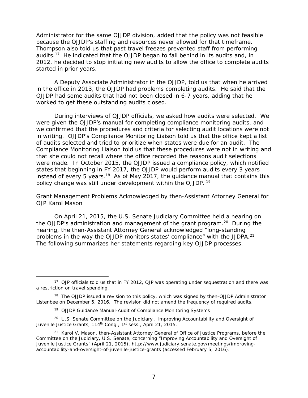<span id="page-11-0"></span>Administrator for the same OJJDP division, added that the policy was not feasible because the OJJDP's staffing and resources never allowed for that timeframe. Thompson also told us that past travel freezes prevented staff from performing audits.17 He indicated that the OJJDP began to fall behind in its audits and, in 2012, he decided to stop initiating new audits to allow the office to complete audits started in prior years.

 worked to get these outstanding audits closed. A Deputy Associate Administrator in the OJJDP, told us that when he arrived in the office in 2013, the OJJDP had problems completing audits. He said that the OJJDP had some audits that had not been closed in 6-7 years, adding that he

 During interviews of OJJDP officials, we asked how audits were selected. We Compliance Monitoring Liaison told us that these procedures were not in writing and were given the OJJDP's manual for completing compliance monitoring audits, and we confirmed that the procedures and criteria for selecting audit locations were not in writing. OJJDP's Compliance Monitoring Liaison told us that the office kept a list of audits selected and tried to prioritize when states were due for an audit. The that she could not recall where the office recorded the reasons audit selections were made. In October 2015, the OJJDP issued a compliance policy, which notified states that beginning in FY 2017, the OJJDP would perform audits every 3 years instead of every 5 years.18 As of May 2017, the guidance manual that contains this policy change was still under development within the OJJDP. <sup>19</sup>

## *Grant Management Problems Acknowledged by then-Assistant Attorney General for OJP Karol Mason*

problems in the way the OJJDP monitors states' compliance" with the JJDPA.<sup>21</sup> On April 21, 2015, the U.S. Senate Judiciary Committee held a hearing on the OJJDP's administration and management of the grant program.<sup>20</sup> During the hearing, the then-Assistant Attorney General acknowledged "long-standing The following summarizes her statements regarding key OJJDP processes.

-

<sup>20</sup> U.S. Senate Committee on the Judiciary, Improving Accountability and Oversight of Juvenile Justice Grants, 114th Cong., 1st sess., April 21, 2015.

<sup>&</sup>lt;sup>17</sup> OJP officials told us that in FY 2012, OJP was operating under sequestration and there was a restriction on travel spending.

Listenbee on December 5, 2016. The revision did not amend the frequency of required audits.<br><sup>19</sup> OJJDP Guidance Manual-Audit of Compliance Monitoring Systems <sup>18</sup> The OJJDP issued a revision to this policy, which was signed by then-OJJDP Administrator

<sup>&</sup>lt;sup>21</sup> Karol V. Mason, then-Assistant Attorney General of Office of Justice Programs, before the Committee on the Judiciary, U.S. Senate, concerning "Improving Accountability and Oversight of Juvenile Justice Grants" (April 21, 2015), http://www.judiciary.senate.gov/meetings/improvingaccountability-and-oversight-of-juvenile-justice-grants (accessed February 5, 2016).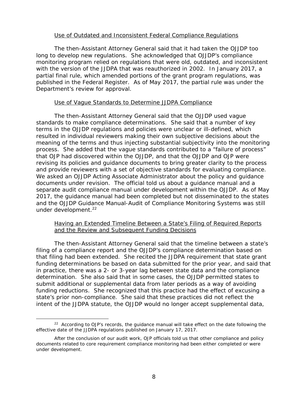### Use of Outdated and Inconsistent Federal Compliance Regulations

 with the version of the JJDPA that was reauthorized in 2002. In January 2017, a The then-Assistant Attorney General said that it had taken the OJJDP too long to develop new regulations. She acknowledged that OJJDP's compliance monitoring program relied on regulations that were old, outdated, and inconsistent partial final rule, which amended portions of the grant program regulations, was published in the Federal Register. As of May 2017, the partial rule was under the Department's review for approval.

### Use of Vague Standards to Determine JJDPA Compliance

 separate audit compliance manual under development within the OJJDP. As of May under development.<sup>22</sup> The then-Assistant Attorney General said that the OJJDP used vague standards to make compliance determinations. She said that a number of key terms in the OJJDP regulations and policies were unclear or ill-defined, which resulted in individual reviewers making their own subjective decisions about the meaning of the terms and thus injecting substantial subjectivity into the monitoring process. She added that the vague standards contributed to a "failure of process" that OJP had discovered within the OJJDP, and that the OJJDP and OJP were revising its policies and guidance documents to bring greater clarity to the process and provide reviewers with a set of objective standards for evaluating compliance. We asked an OJJDP Acting Associate Administrator about the policy and guidance documents under revision. The official told us about a guidance manual and a 2017, the guidance manual had been completed but not disseminated to the states and the OJJDP Guidance Manual-Audit of Compliance Monitoring Systems was still

# Having an Extended Timeline Between a State's Filing of Required Reports and the Review and Subsequent Funding Decisions

The then-Assistant Attorney General said that the timeline between a state's filing of a compliance report and the OJJDP's compliance determination based on that filing had been extended. She recited the JJDPA requirement that state grant funding determinations be based on data submitted for the prior year, and said that in practice, there was a 2- or 3-year lag between state data and the compliance determination. She also said that in some cases, the OJJDP permitted states to submit additional or supplemental data from later periods as a way of avoiding funding reductions. She recognized that this practice had the effect of excusing a state's prior non-compliance. She said that these practices did not reflect the intent of the JJDPA statute, the OJJDP would no longer accept supplemental data,

-

 effective date of the JJDPA regulations published on January 17, 2017.  $22$  According to OJP's records, the guidance manual will take effect on the date following the

After the conclusion of our audit work, OJP officials told us that other compliance and policy documents related to core requirement compliance monitoring had been either completed or were under development.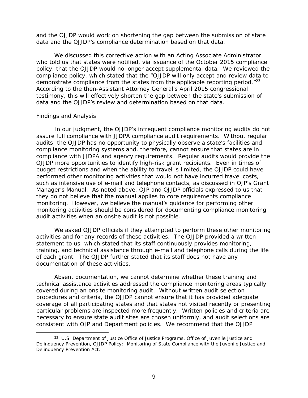<span id="page-13-0"></span>and the OJJDP would work on shortening the gap between the submission of state data and the OJJDP's compliance determination based on that data.

demonstrate compliance from the states from the applicable reporting period. $123$ We discussed this corrective action with an Acting Associate Administrator who told us that states were notified, via issuance of the October 2015 compliance policy, that the OJJDP would no longer accept supplemental data. We reviewed the compliance policy, which stated that the "OJJDP will only accept and review data to According to the then-Assistant Attorney General's April 2015 congressional testimony, this will effectively shorten the gap between the state's submission of data and the OJJDP's review and determination based on that data.

### *Findings and Analysis*

-

 OJJDP more opportunities to identify high-risk grant recipients. Even in times of In our judgment, the OJJDP's infrequent compliance monitoring audits do not assure full compliance with JJDPA compliance audit requirements. Without regular audits, the OJJDP has no opportunity to physically observe a state's facilities and compliance monitoring systems and, therefore, cannot ensure that states are in compliance with JJDPA and agency requirements. Regular audits would provide the budget restrictions and when the ability to travel is limited, the OJJDP could have performed other monitoring activities that would not have incurred travel costs, such as intensive use of e-mail and telephone contacts, as discussed in OJP's Grant Manager's Manual. As noted above, OJP and OJJDP officials expressed to us that they do not believe that the manual applies to core requirements compliance monitoring. However, we believe the manual's guidance for performing other monitoring activities should be considered for documenting compliance monitoring audit activities when an onsite audit is not possible.

We asked OJJDP officials if they attempted to perform these other monitoring activities and for any records of these activities. The OJJDP provided a written statement to us, which stated that its staff continuously provides monitoring, training, and technical assistance through e-mail and telephone calls during the life of each grant. The OJJDP further stated that its staff does not have any documentation of these activities.

Absent documentation, we cannot determine whether these training and technical assistance activities addressed the compliance monitoring areas typically covered during an onsite monitoring audit. Without written audit selection procedures and criteria, the OJJDP cannot ensure that it has provided adequate coverage of all participating states and that states not visited recently or presenting particular problems are inspected more frequently. Written policies and criteria are necessary to ensure state audit sites are chosen uniformly, and audit selections are consistent with OJP and Department policies. We recommend that the OJJDP

<sup>&</sup>lt;sup>23</sup> U.S. Department of Justice Office of Justice Programs, Office of Juvenile Justice and Delinquency Prevention, OJJDP Policy: Monitoring of State Compliance with the Juvenile Justice and Delinquency Prevention Act.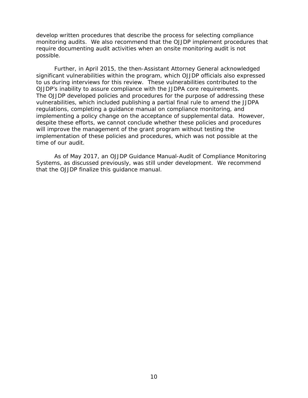develop written procedures that describe the process for selecting compliance monitoring audits. We also recommend that the OJJDP implement procedures that require documenting audit activities when an onsite monitoring audit is not possible.

OJJDP's inability to assure compliance with the JJDPA core requirements. despite these efforts, we cannot conclude whether these policies and procedures implementation of these policies and procedures, which was not possible at the Further, in April 2015, the then-Assistant Attorney General acknowledged significant vulnerabilities within the program, which OJJDP officials also expressed to us during interviews for this review. These vulnerabilities contributed to the The OJJDP developed policies and procedures for the purpose of addressing these vulnerabilities, which included publishing a partial final rule to amend the JJDPA regulations, completing a guidance manual on compliance monitoring, and implementing a policy change on the acceptance of supplemental data. However, will improve the management of the grant program without testing the time of our audit.

As of May 2017, an OJJDP Guidance Manual-Audit of Compliance Monitoring Systems, as discussed previously, was still under development. We recommend that the OJJDP finalize this guidance manual.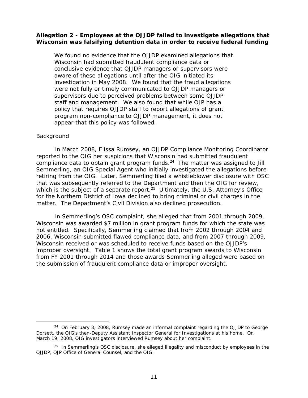## <span id="page-15-0"></span>**Allegation 2 - Employees at the OJJDP failed to investigate allegations that Wisconsin was falsifying detention data in order to receive federal funding**

We found no evidence that the OJJDP examined allegations that Wisconsin had submitted fraudulent compliance data or conclusive evidence that OJJDP managers or supervisors were aware of these allegations until after the OIG initiated its investigation in May 2008. We found that the fraud allegations were not fully or timely communicated to OJJDP managers or supervisors due to perceived problems between some OJJDP staff and management. We also found that while OJP has a policy that requires OJJDP staff to report allegations of grant program non-compliance to OJJDP management, it does not appear that this policy was followed.

### *Background*

-

which is the subject of a separate report.<sup>25</sup> Ultimately, the U.S. Attorney's Office In March 2008, Elissa Rumsey, an OJJDP Compliance Monitoring Coordinator reported to the OIG her suspicions that Wisconsin had submitted fraudulent compliance data to obtain grant program funds.<sup>24</sup> The matter was assigned to Jill Semmerling, an OIG Special Agent who initially investigated the allegations before retiring from the OIG. Later, Semmerling filed a whistleblower disclosure with OSC that was subsequently referred to the Department and then the OIG for review, for the Northern District of Iowa declined to bring criminal or civil charges in the matter. The Department's Civil Division also declined prosecution.

In Semmerling's OSC complaint, she alleged that from 2001 through 2009, Wisconsin was awarded \$7 million in grant program funds for which the state was not entitled. Specifically, Semmerling claimed that from 2002 through 2004 and 2006, Wisconsin submitted flawed compliance data, and from 2007 through 2009, Wisconsin received or was scheduled to receive funds based on the OJJDP's improper oversight. Table 1 shows the total grant program awards to Wisconsin from FY 2001 through 2014 and those awards Semmerling alleged were based on the submission of fraudulent compliance data or improper oversight.

March 19, 2008, OIG investigators interviewed Rumsey about her complaint.  $24$  On February 3, 2008, Rumsey made an informal complaint regarding the OJJDP to George Dorsett, the OIG's then-Deputy Assistant Inspector General for Investigations at his home. On

 $25$  In Semmerling's OSC disclosure, she alleged illegality and misconduct by employees in the OJJDP, OJP Office of General Counsel, and the OIG.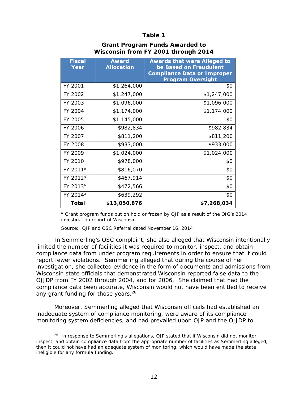### **Table 1**

#### **Grant Program Funds Awarded to Wisconsin from FY 2001 through 2014**

| <b>Fiscal</b><br>Year | <b>Award</b><br><b>Allocation</b> | <b>Awards that were Alleged to</b><br>be Based on Fraudulent<br><b>Compliance Data or Improper</b><br><b>Program Oversight</b> |
|-----------------------|-----------------------------------|--------------------------------------------------------------------------------------------------------------------------------|
| FY 2001               | \$1,264,000                       | \$0                                                                                                                            |
| FY 2002               | \$1,247,000                       | \$1,247,000                                                                                                                    |
| FY 2003               | \$1,096,000                       | \$1,096,000                                                                                                                    |
| FY 2004               | \$1,174,000                       | \$1,174,000                                                                                                                    |
| FY 2005               | \$1,145,000                       | \$0                                                                                                                            |
| FY 2006               | \$982,834                         | \$982,834                                                                                                                      |
| FY 2007               | \$811,200                         | \$811,200                                                                                                                      |
| FY 2008               | \$933,000                         | \$933,000                                                                                                                      |
| FY 2009               | \$1,024,000                       | \$1,024,000                                                                                                                    |
| FY 2010               | \$978,000                         | \$0                                                                                                                            |
| FY 2011 <sup>a</sup>  | \$816,070                         | \$0                                                                                                                            |
| FY 2012 <sup>a</sup>  | \$467,914                         | \$0                                                                                                                            |
| FY 2013 <sup>a</sup>  | \$472,566                         | \$0                                                                                                                            |
| FY 2014 <sup>a</sup>  | \$639,292                         | \$0                                                                                                                            |
| Total                 | \$13,050,876                      | \$7,268,034                                                                                                                    |

<sup>a</sup> Grant program funds put on hold or frozen by OJP as a result of the OIG's 2014 investigation report of Wisconsin

Source: OJP and OSC Referral dated November 16, 2014

j

 compliance data from under program requirements in order to ensure that it could investigation, she collected evidence in the form of documents and admissions from OJJDP from FY 2002 through 2004, and for 2006. She claimed that had the In Semmerling's OSC complaint, she also alleged that Wisconsin intentionally limited the number of facilities it was required to monitor, inspect, and obtain report fewer violations. Semmerling alleged that during the course of her Wisconsin state officials that demonstrated Wisconsin reported false data to the compliance data been accurate, Wisconsin would not have been entitled to receive any grant funding for those years.<sup>26</sup>

Moreover, Semmerling alleged that Wisconsin officials had established an inadequate system of compliance monitoring, were aware of its compliance monitoring system deficiencies, and had prevailed upon OJP and the OJJDP to

ineligible for any formula funding.  $26$  In response to Semmerling's allegations, OJP stated that if Wisconsin did not monitor, inspect, and obtain compliance data from the appropriate number of facilities as Semmerling alleged, then it could not have had an adequate system of monitoring, which would have made the state ineligible for any formula funding.<br>12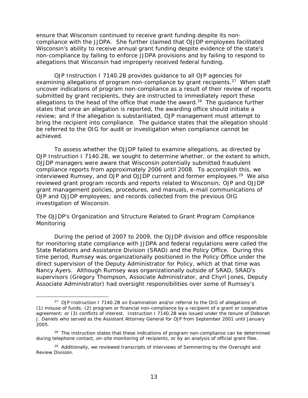<span id="page-17-0"></span>ensure that Wisconsin continued to receive grant funding despite its noncompliance with the JJDPA. She further claimed that OJJDP employees facilitated Wisconsin's ability to receive annual grant funding despite evidence of the state's non-compliance by failing to enforce JJDPA provisions and by failing to respond to allegations that Wisconsin had improperly received federal funding.

examining allegations of program non-compliance by grant recipients.<sup>27</sup> When staff be referred to the OIG for audit or investigation when compliance cannot be OJP Instruction I 7140.2B provides guidance to all OJP agencies for uncover indications of program non-compliance as a result of their review of reports submitted by grant recipients, they are instructed to immediately report these allegations to the head of the office that made the award.<sup>28</sup> The guidance further states that once an allegation is reported, the awarding office should initiate a review; and if the allegation is substantiated, OJP management must attempt to bring the recipient into compliance. The guidance states that the allegation should achieved.

To assess whether the OJJDP failed to examine allegations, as directed by OJP Instruction I 7140.2B, we sought to determine whether, or the extent to which, OJJDP managers were aware that Wisconsin potentially submitted fraudulent compliance reports from approximately 2006 until 2008. To accomplish this, we interviewed Rumsey, and OJP and OJJDP current and former employees. $29$  We also reviewed grant program records and reports related to Wisconsin; OJP and OJJDP grant management policies, procedures, and manuals, e-mail communications of OJP and OJJDP employees; and records collected from the previous OIG investigation of Wisconsin.

# *Monitoring The OJJDP's Organization and Structure Related to Grant Program Compliance*

 Nancy Ayers. Although Rumsey was organizationally outside of SRAD, SRAD's Associate Administrator) had oversight responsibilities over some of Rumsey's During the period of 2007 to 2009, the OJJDP division and office responsible for monitoring state compliance with JJDPA and federal regulations were called the State Relations and Assistance Division (SRAD) and the Policy Office. During this time period, Rumsey was organizationally positioned in the Policy Office under the direct supervision of the Deputy Administrator for Policy, which at that time was supervisors (Gregory Thompson, Associate Administrator, and Chyrl Jones, Deputy

-

<sup>2005.</sup> <sup>27</sup> OJP Instruction 1 7140.2B on Examination and/or referral to the OIG of allegations of: (1) misuse of funds; (2) program or financial non-compliance by a recipient of a grant or cooperative agreement; or (3) conflicts of interest. Instruction I 7140.2B was issued under the tenure of Deborah J. Daniels who served as the Assistant Attorney General for OJP from September 2001 until January

 $28$  The instruction states that these indications of program non-compliance can be determined during telephone contact, on-site monitoring of recipients, or by an analysis of official grant files.

 $29$  Additionally, we reviewed transcripts of interviews of Semmerling by the Oversight and Review Division.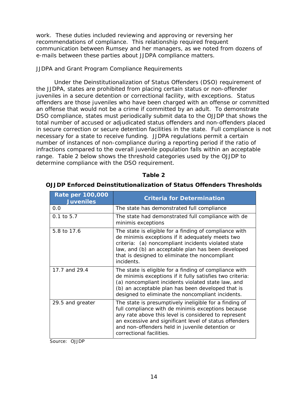work. These duties included reviewing and approving or reversing her recommendations of compliance. This relationship required frequent communication between Rumsey and her managers, as we noted from dozens of e-mails between these parties about JJDPA compliance matters.

## *JJDPA and Grant Program Compliance Requirements*

Under the Deinstitutionalization of Status Offenders (DSO) requirement of the JJDPA, states are prohibited from placing certain status or non-offender juveniles in a secure detention or correctional facility, with exceptions. Status offenders are those juveniles who have been charged with an offense or committed an offense that would not be a crime if committed by an adult. To demonstrate DSO compliance, states must periodically submit data to the OJJDP that shows the total number of accused or adjudicated status offenders and non-offenders placed in secure correction or secure detention facilities in the state. Full compliance is not necessary for a state to receive funding. JJDPA regulations permit a certain number of instances of non-compliance during a reporting period if the ratio of infractions compared to the overall juvenile population falls within an acceptable range. Table 2 below shows the threshold categories used by the OJJDP to determine compliance with the DSO requirement.

| able |  |
|------|--|
|      |  |

| <b>Rate per 100,000</b><br><b>Juveniles</b> | <b>Criteria for Determination</b>                                                                                                                                                                                                                                                                             |
|---------------------------------------------|---------------------------------------------------------------------------------------------------------------------------------------------------------------------------------------------------------------------------------------------------------------------------------------------------------------|
| 0.0                                         | The state has demonstrated full compliance                                                                                                                                                                                                                                                                    |
| $0.1$ to $5.7$                              | The state had demonstrated full compliance with de<br>minimis exceptions                                                                                                                                                                                                                                      |
| 5.8 to 17.6                                 | The state is eligible for a finding of compliance with<br>de minimis exceptions if it adequately meets two<br>criteria: (a) noncompliant incidents violated state<br>law, and (b) an acceptable plan has been developed<br>that is designed to eliminate the noncompliant<br>incidents.                       |
| 17.7 and 29.4                               | The state is eligible for a finding of compliance with<br>de minimis exceptions if it fully satisfies two criteria:<br>(a) noncompliant incidents violated state law, and<br>(b) an acceptable plan has been developed that is<br>designed to eliminate the noncompliant incidents.                           |
| 29.5 and greater                            | The state is presumptively ineligible for a finding of<br>full compliance with de minimis exceptions because<br>any rate above this level is considered to represent<br>an excessive and significant level of status offenders<br>and non-offenders held in juvenile detention or<br>correctional facilities. |

### **OJJDP Enforced Deinstitutionalization of Status Offenders Thresholds**

Source: OJJDP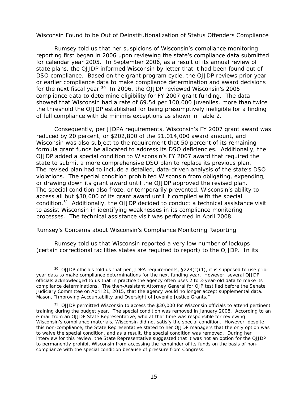### <span id="page-19-0"></span>*Wisconsin Found to be Out of Deinstitutionalization of Status Offenders Compliance*

 DSO compliance. Based on the grant program cycle, the OJJDP reviews prior year or earlier compliance data to make compliance determination and award decisions Rumsey told us that her suspicions of Wisconsin's compliance monitoring reporting first began in 2006 upon reviewing the state's compliance data submitted for calendar year 2005. In September 2006, as a result of its annual review of state plans, the OJJDP informed Wisconsin by letter that it had been found out of for the next fiscal year.<sup>30</sup> In 2006, the OJJDP reviewed Wisconsin's 2005 compliance data to determine eligibility for FY 2007 grant funding. The data showed that Wisconsin had a rate of 69.54 per 100,000 juveniles, more than twice the threshold the OJJDP established for being presumptively ineligible for a finding of full compliance with *de minimis* exceptions as shown in Table 2.

Consequently, per JJDPA requirements, Wisconsin's FY 2007 grant award was reduced by 20 percent, or \$202,800 of the \$1,014,000 award amount, and Wisconsin was also subject to the requirement that 50 percent of its remaining formula grant funds be allocated to address its DSO deficiencies. Additionally, the OJJDP added a special condition to Wisconsin's FY 2007 award that required the state to submit a more comprehensive DSO plan to replace its previous plan. The revised plan had to include a detailed, data-driven analysis of the state's DSO violations. The special condition prohibited Wisconsin from obligating, expending, or drawing down its grant award until the OJJDP approved the revised plan. The special condition also froze, or temporarily prevented, Wisconsin's ability to access all but \$30,000 of its grant award until it complied with the special condition.31 Additionally, the OJJDP decided to conduct a technical assistance visit to assist Wisconsin in identifying weaknesses in its compliance monitoring processes. The technical assistance visit was performed in April 2008.

#### *Rumsey's Concerns about Wisconsin's Compliance Monitoring Reporting*

j

Rumsey told us that Wisconsin reported a very low number of lockups (certain correctional facilities states are required to report) to the OJJDP. In its

Judiciary Committee on April 21, 2015, that the agency would no longer accept supplemental data.<br>Mason, "Improving Accountability and Oversight of Juvenile Justice Grants." <sup>30</sup> OJJDP officials told us that per JJDPA requirements,  $\S223(c)(1)$ , it is supposed to use prior year data to make compliance determinations for the next funding year. However, several OJJDP officials acknowledged to us that in practice the agency often uses 2 to 3-year-old data to make its compliance determinations. The then-Assistant Attorney General for OJP testified before the Senate

 to waive the special condition, and as a result, the special condition was removed. During her <sup>31</sup> OJJDP permitted Wisconsin to access the \$30,000 for Wisconsin officials to attend pertinent training during the budget year. The special condition was removed in January 2008. According to an e-mail from an OJJDP State Representative, who at that time was responsible for reviewing Wisconsin's compliance materials, Wisconsin did not satisfy the special condition. However, despite this non-compliance, the State Representative stated to her OJJDP managers that the only option was interview for this review, the State Representative suggested that it was not an option for the OJJDP to permanently prohibit Wisconsin from accessing the remainder of its funds on the basis of noncompliance with the special condition because of pressure from Congress.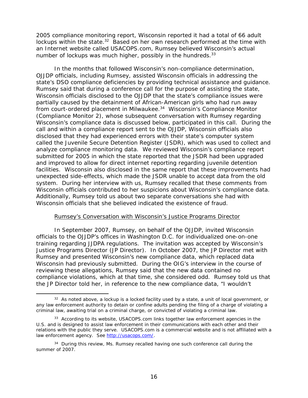lockups within the state.<sup>32</sup> Based on her own research performed at the time with 2005 compliance monitoring report, Wisconsin reported it had a total of 66 adult an Internet website called USACOPS.com, Rumsey believed Wisconsin's actual number of lockups was much higher, possibly in the hundreds.<sup>33</sup>

Wisconsin officials contributed to her suspicions about Wisconsin's compliance data. In the months that followed Wisconsin's non-compliance determination, OJJDP officials, including Rumsey, assisted Wisconsin officials in addressing the state's DSO compliance deficiencies by providing technical assistance and guidance. Rumsey said that during a conference call for the purpose of assisting the state, Wisconsin officials disclosed to the OJJDP that the state's compliance issues were partially caused by the detainment of African-American girls who had run away from court-ordered placement in Milwaukee.34 Wisconsin's Compliance Monitor (Compliance Monitor 2), whose subsequent conversation with Rumsey regarding Wisconsin's compliance data is discussed below, participated in this call. During the call and within a compliance report sent to the OJJDP, Wisconsin officials also disclosed that they had experienced errors with their state's computer system called the Juvenile Secure Detention Register (JSDR), which was used to collect and analyze compliance monitoring data. We reviewed Wisconsin's compliance report submitted for 2005 in which the state reported that the JSDR had been upgraded and improved to allow for direct internet reporting regarding juvenile detention facilities. Wisconsin also disclosed in the same report that these improvements had unexpected side-effects, which made the JSDR unable to accept data from the old system. During her interview with us, Rumsey recalled that these comments from Additionally, Rumsey told us about two separate conversations she had with Wisconsin officials that she believed indicated the existence of fraud.

#### Rumsey's Conversation with Wisconsin's Justice Programs Director

In September 2007, Rumsey, on behalf of the OJJDP, invited Wisconsin officials to the OJJDP's offices in Washington D.C. for individualized one-on-one training regarding JJDPA regulations. The invitation was accepted by Wisconsin's Justice Programs Director (JP Director). In October 2007, the JP Director met with Rumsey and presented Wisconsin's new compliance data, which replaced data Wisconsin had previously submitted. During the OIG's interview in the course of reviewing these allegations, Rumsey said that the new data contained no compliance violations, which at that time, she considered odd. Rumsey told us that the JP Director told her, in reference to the new compliance data, "I wouldn't

j

 criminal law, awaiting trial on a criminal charge, or convicted of violating a criminal law.  $32$  As noted above, a lockup is a locked facility used by a state, a unit of local government, or any law enforcement authority to detain or confine adults pending the filing of a charge of violating a

<sup>&</sup>lt;sup>33</sup> According to its website, USACOPS.com links together law enforcement agencies in the U.S. and is designed to assist law enforcement in their communications with each other and their relations with the public they serve. USACOPS.com is a commercial website and is not affiliated with a law enforcement agency. See http://usacops.com/.

summer of 2007.  $34$  During this review, Ms. Rumsey recalled having one such conference call during the summer of 2007.<br>16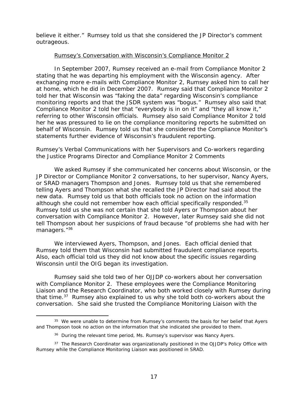<span id="page-21-0"></span>believe it either." Rumsey told us that she considered the JP Director's comment outrageous.

### Rumsey's Conversation with Wisconsin's Compliance Monitor 2

In September 2007, Rumsey received an e-mail from Compliance Monitor 2 stating that he was departing his employment with the Wisconsin agency. After exchanging more e-mails with Compliance Monitor 2, Rumsey asked him to call her at home, which he did in December 2007. Rumsey said that Compliance Monitor 2 told her that Wisconsin was "faking the data" regarding Wisconsin's compliance monitoring reports and that the JSDR system was "bogus." Rumsey also said that Compliance Monitor 2 told her that "everybody is in on it" and "they all know it," referring to other Wisconsin officials. Rumsey also said Compliance Monitor 2 told her he was pressured to lie on the compliance monitoring reports he submitted on behalf of Wisconsin. Rumsey told us that she considered the Compliance Monitor's statements further evidence of Wisconsin's fraudulent reporting.

## *Rumsey's Verbal Communications with her Supervisors and Co-workers regarding the Justice Programs Director and Compliance Monitor 2 Comments*

although she could not remember how each official specifically responded. $35$ managers."<sup>36</sup> We asked Rumsey if she communicated her concerns about Wisconsin, or the JP Director or Compliance Monitor 2 conversations, to her supervisor, Nancy Ayers, or SRAD managers Thompson and Jones. Rumsey told us that she remembered telling Ayers and Thompson what she recalled the JP Director had said about the new data. Rumsey told us that both officials took no action on the information Rumsey told us she was not certain that she told Ayers or Thompson about her conversation with Compliance Monitor 2. However, later Rumsey said she did not tell Thompson about her suspicions of fraud because "of problems she had with her

We interviewed Ayers, Thompson, and Jones. Each official denied that Rumsey told them that Wisconsin had submitted fraudulent compliance reports. Also, each official told us they did not know about the specific issues regarding Wisconsin until the OIG began its investigation.

Rumsey said she told two of her OJJDP co-workers about her conversation with Compliance Monitor 2. These employees were the Compliance Monitoring Liaison and the Research Coordinator, who both worked closely with Rumsey during that time.<sup>37</sup> Rumsey also explained to us why she told both co-workers about the conversation. She said she trusted the Compliance Monitoring Liaison with the

-

<sup>&</sup>lt;sup>35</sup> We were unable to determine from Rumsey's comments the basis for her belief that Ayers and Thompson took no action on the information that she indicated she provided to them.

<sup>&</sup>lt;sup>36</sup> During the relevant time period, Ms. Rumsey's supervisor was Nancy Ayers.

<sup>&</sup>lt;sup>37</sup> The Research Coordinator was organizationally positioned in the OJJDP's Policy Office with Rumsey while the Compliance Monitoring Liaison was positioned in SRAD.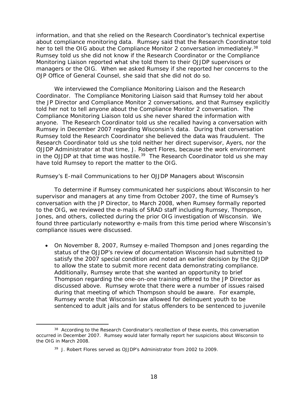<span id="page-22-0"></span>her to tell the OIG about the Compliance Monitor 2 conversation immediately.<sup>38</sup> information, and that she relied on the Research Coordinator's technical expertise about compliance monitoring data. Rumsey said that the Research Coordinator told Rumsey told us she did not know if the Research Coordinator or the Compliance Monitoring Liaison reported what she told them to their OJJDP supervisors or managers or the OIG. When we asked Rumsey if she reported her concerns to the OJP Office of General Counsel, she said that she did not do so.

 Compliance Monitoring Liaison told us she never shared the information with We interviewed the Compliance Monitoring Liaison and the Research Coordinator. The Compliance Monitoring Liaison said that Rumsey told her about the JP Director and Compliance Monitor 2 conversations, and that Rumsey explicitly told her not to tell anyone about the Compliance Monitor 2 conversation. The anyone. The Research Coordinator told us she recalled having a conversation with Rumsey in December 2007 regarding Wisconsin's data. During that conversation Rumsey told the Research Coordinator she believed the data was fraudulent. The Research Coordinator told us she told neither her direct supervisor, Ayers, nor the OJJDP Administrator at that time, J. Robert Flores, because the work environment in the OJJDP at that time was hostile.<sup>39</sup> The Research Coordinator told us she may have told Rumsey to report the matter to the OIG.

#### *Rumsey's E-mail Communications to her OJJDP Managers about Wisconsin*

To determine if Rumsey communicated her suspicions about Wisconsin to her supervisor and managers at any time from October 2007, the time of Rumsey's conversation with the JP Director, to March 2008, when Rumsey formally reported to the OIG, we reviewed the e-mails of SRAD staff including Rumsey, Thompson, Jones, and others, collected during the prior OIG investigation of Wisconsin. We found three particularly noteworthy e-mails from this time period where Wisconsin's compliance issues were discussed.

 On November 8, 2007, Rumsey e-mailed Thompson and Jones regarding the status of the OJJDP's review of documentation Wisconsin had submitted to satisfy the 2007 special condition and noted an earlier decision by the OJJDP to allow the state to submit more recent data demonstrating compliance. Additionally, Rumsey wrote that she wanted an opportunity to brief Thompson regarding the one-on-one training offered to the JP Director as discussed above. Rumsey wrote that there were a number of issues raised during that meeting of which Thompson should be aware. For example, Rumsey wrote that Wisconsin law allowed for delinquent youth to be sentenced to adult jails and for status offenders to be sentenced to juvenile

-

<sup>&</sup>lt;sup>38</sup> According to the Research Coordinator's recollection of these events, this conversation occurred in December 2007. Rumsey would later formally report her suspicions about Wisconsin to the OIG in March 2008.

<sup>39</sup> J. Robert Flores served as OJJDP's Administrator from 2002 to 2009.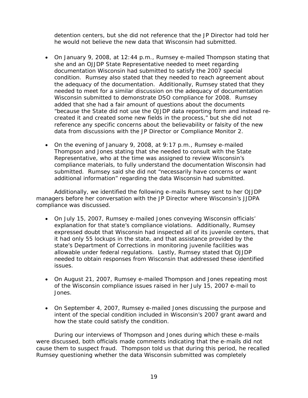detention centers, but she did not reference that the JP Director had told her he would not believe the new data that Wisconsin had submitted.

- Wisconsin submitted to demonstrate DSO compliance for 2008. Rumsey On January 9, 2008, at 12:44 p.m., Rumsey e-mailed Thompson stating that she and an OJJDP State Representative needed to meet regarding documentation Wisconsin had submitted to satisfy the 2007 special condition. Rumsey also stated that they needed to reach agreement about the adequacy of the documentation. Additionally, Rumsey stated that they needed to meet for a similar discussion on the adequacy of documentation added that she had a fair amount of questions about the documents "because the State did not use the OJJDP data reporting form and instead recreated it and created some new fields in the process," but she did not reference any specific concerns about the believability or falsity of the new data from discussions with the JP Director or Compliance Monitor 2.
- On the evening of January 9, 2008, at 9:17 p.m., Rumsey e-mailed Thompson and Jones stating that she needed to consult with the State Representative, who at the time was assigned to review Wisconsin's compliance materials, to fully understand the documentation Wisconsin had submitted. Rumsey said she did not "necessarily have concerns or want additional information" regarding the data Wisconsin had submitted.

Additionally, we identified the following e-mails Rumsey sent to her OJJDP managers before her conversation with the JP Director where Wisconsin's JJDPA compliance was discussed.

- On July 15, 2007, Rumsey e-mailed Jones conveying Wisconsin officials' explanation for that state's compliance violations. Additionally, Rumsey expressed doubt that Wisconsin had inspected all of its juvenile centers, that it had only 55 lockups in the state, and that assistance provided by the state's Department of Corrections in monitoring juvenile facilities was allowable under federal regulations. Lastly, Rumsey stated that OJJDP needed to obtain responses from Wisconsin that addressed these identified issues.
- On August 21, 2007, Rumsey e-mailed Thompson and Jones repeating most of the Wisconsin compliance issues raised in her July 15, 2007 e-mail to Jones.
- On September 4, 2007, Rumsey e-mailed Jones discussing the purpose and intent of the special condition included in Wisconsin's 2007 grant award and how the state could satisfy the condition.

 cause them to suspect fraud. Thompson told us that during this period, he recalled During our interviews of Thompson and Jones during which these e-mails were discussed, both officials made comments indicating that the e-mails did not Rumsey questioning whether the data Wisconsin submitted was completely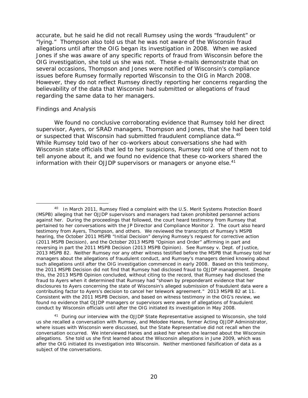<span id="page-24-0"></span> allegations until after the OIG began its investigation in 2008. When we asked issues before Rumsey formally reported Wisconsin to the OIG in March 2008. accurate, but he said he did not recall Rumsey using the words "fraudulent" or "lying." Thompson also told us that he was not aware of the Wisconsin fraud Jones if she was aware of any specific reports of fraud from Wisconsin before the OIG investigation, she told us she was not. These e-mails demonstrate that on several occasions, Thompson and Jones were notified of Wisconsin's compliance However, they do not reflect Rumsey directly reporting her concerns regarding the believability of the data that Wisconsin had submitted or allegations of fraud regarding the same data to her managers.

# *Findings and Analysis*

or suspected that Wisconsin had submitted fraudulent compliance data.<sup>40</sup> We found no conclusive corroborating evidence that Rumsey told her direct supervisor, Ayers, or SRAD managers, Thompson and Jones, that she had been told While Rumsey told two of her co-workers about conversations she had with Wisconsin state officials that led to her suspicions, Rumsey told one of them not to tell anyone about it, and we found no evidence that these co-workers shared the information with their OJJDP supervisors or managers or anyone else.<sup>41</sup>

contributing factor to Ayers's decision to cancel her telework agreement." 2013 MSPB 82 at 11. <sup>40</sup> In March 2011, Rumsey filed a complaint with the U.S. Merit Systems Protection Board (MSPB) alleging that her OJJDP supervisors and managers had taken prohibited personnel actions against her. During the proceedings that followed, the court heard testimony from Rumsey that pertained to her conversations with the JP Director and Compliance Monitor 2. The court also heard testimony from Ayers, Thompson, and others. We reviewed the transcripts of Rumsey's MSPB hearing, the October 2011 MSPB "Initial Decision" denying Rumsey's request for corrective action (2011 MSPB Decision), and the October 2013 MSPB "Opinion and Order" affirming in part and reversing in part the 2011 MSPB Decision (2013 MSPB Opinion). See *Rumsey v. Dept. of Justice*, 2013 MSPB 82. Neither Rumsey nor any other witness testified before the MSPB that Rumsey told her managers about the allegations of fraudulent conduct, and Rumsey's managers denied knowing about such allegations until after the OIG investigation commenced in early 2008. Based on this testimony, the 2011 MSPB Decision did not find that Rumsey had disclosed fraud to OJJDP management. Despite this, the 2013 MSPB Opinion concluded, without citing to the record, that Rumsey had disclosed the fraud to Ayers when it determined that Rumsey had "shown by preponderant evidence that her disclosures to Ayers concerning the state of Wisconsin's alleged submission of fraudulent data were a Consistent with the 2011 MSPB Decision, and based on witness testimony in the OIG's review, we found no evidence that OJJDP managers or supervisors were aware of allegations of fraudulent conduct by Wisconsin officials until after the OIG initiated its investigation in May 2008.

 allegations. She told us she first learned about the Wisconsin allegations in June 2009, which was <sup>41</sup> During our interview with the OJJDP State Representative assigned to Wisconsin, she told us she recalled a conversation with Rumsey, and Melodee Hanes, former Acting OJJDP Administrator, where issues with Wisconsin were discussed, but the State Representative did not recall when the conversation occurred. We interviewed Hanes and asked her when she learned about the Wisconsin after the OIG initiated its investigation into Wisconsin. Neither mentioned falsification of data as a subject of the conversations.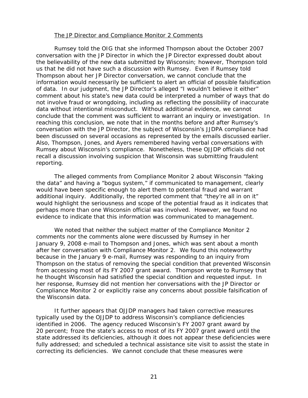#### The JP Director and Compliance Monitor 2 Comments

Rumsey told the OIG that she informed Thompson about the October 2007 conversation with the JP Director in which the JP Director expressed doubt about the believability of the new data submitted by Wisconsin; however, Thompson told us that he did not have such a discussion with Rumsey. Even if Rumsey told Thompson about her JP Director conversation, we cannot conclude that the information would necessarily be sufficient to alert an official of possible falsification of data. In our judgment, the JP Director's alleged "I wouldn't believe it either" comment about his state's new data could be interpreted a number of ways that do not involve fraud or wrongdoing, including as reflecting the possibility of inaccurate data without intentional misconduct. Without additional evidence, we cannot conclude that the comment was sufficient to warrant an inquiry or investigation. In reaching this conclusion, we note that in the months before and after Rumsey's conversation with the JP Director, the subject of Wisconsin's JJDPA compliance had been discussed on several occasions as represented by the emails discussed earlier. Also, Thompson, Jones, and Ayers remembered having verbal conversations with Rumsey about Wisconsin's compliance. Nonetheless, these OJJDP officials did not recall a discussion involving suspicion that Wisconsin was submitting fraudulent reporting.

The alleged comments from Compliance Monitor 2 about Wisconsin "faking the data" and having a "bogus system," if communicated to management, clearly would have been specific enough to alert them to potential fraud and warrant additional inquiry. Additionally, the reported comment that "they're all in on it" would highlight the seriousness and scope of the potential fraud as it indicates that perhaps more than one Wisconsin official was involved. However, we found no evidence to indicate that this information was communicated to management.

 Thompson on the status of removing the special condition that prevented Wisconsin We noted that neither the subject matter of the Compliance Monitor 2 comments nor the comments alone were discussed by Rumsey in her January 9, 2008 e-mail to Thompson and Jones, which was sent about a month after her conversation with Compliance Monitor 2. We found this noteworthy because in the January 9 e-mail, Rumsey was responding to an inquiry from from accessing most of its FY 2007 grant award. Thompson wrote to Rumsey that he thought Wisconsin had satisfied the special condition and requested input. In her response, Rumsey did not mention her conversations with the JP Director or Compliance Monitor 2 or explicitly raise any concerns about possible falsification of the Wisconsin data.

It further appears that OJJDP managers had taken corrective measures typically used by the OJJDP to address Wisconsin's compliance deficiencies identified in 2006. The agency reduced Wisconsin's FY 2007 grant award by 20 percent; froze the state's access to most of its FY 2007 grant award until the state addressed its deficiencies, although it does not appear these deficiencies were fully addressed; and scheduled a technical assistance site visit to assist the state in correcting its deficiencies. We cannot conclude that these measures were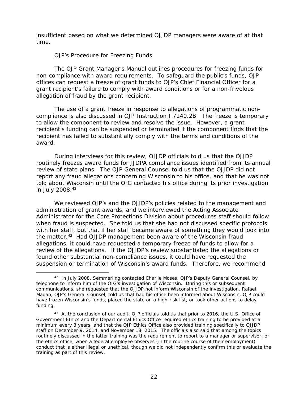insufficient based on what we determined OJJDP managers were aware of at that time.

## OJP's Procedure for Freezing Funds

j

The OJP Grant Manager's Manual outlines procedures for freezing funds for non-compliance with award requirements. To safeguard the public's funds, OJP offices can request a freeze of grant funds to OJP's Chief Financial Officer for a grant recipient's failure to comply with award conditions or for a non-frivolous allegation of fraud by the grant recipient.

The use of a grant freeze in response to allegations of programmatic noncompliance is also discussed in OJP Instruction I 7140.2B. The freeze is temporary to allow the component to review and resolve the issue. However, a grant recipient's funding can be suspended or terminated if the component finds that the recipient has failed to substantially comply with the terms and conditions of the award.

During interviews for this review, OJJDP officials told us that the OJJDP routinely freezes award funds for JJDPA compliance issues identified from its annual review of state plans. The OJP General Counsel told us that the OJJDP did not report any fraud allegations concerning Wisconsin to his office, and that he was not told about Wisconsin until the OIG contacted his office during its prior investigation in July 2008.<sup>42</sup>

 Administrator for the Core Protections Division about procedures staff should follow We reviewed OJP's and the OJJDP's policies related to the management and administration of grant awards, and we interviewed the Acting Associate when fraud is suspected. She told us that she had not discussed specific protocols with her staff, but that if her staff became aware of something they would look into the matter.<sup>43</sup> Had OJJDP management been aware of the Wisconsin fraud allegations, it could have requested a temporary freeze of funds to allow for a review of the allegations. If the OJJDP's review substantiated the allegations or found other substantial non-compliance issues, it could have requested the suspension or termination of Wisconsin's award funds. Therefore, we recommend

<sup>&</sup>lt;sup>42</sup> In July 2008, Semmerling contacted Charlie Moses, OJP's Deputy General Counsel, by telephone to inform him of the OIG's investigation of Wisconsin. During this or subsequent communications, she requested that the OJJDP not inform Wisconsin of the investigation. Rafael Madan, OJP's General Counsel, told us that had his office been informed about Wisconsin, OJP could have frozen Wisconsin's funds, placed the state on a high-risk list, or took other actions to delay funding.

<sup>&</sup>lt;sup>43</sup> At the conclusion of our audit, OJP officials told us that prior to 2016, the U.S. Office of Government Ethics and the Departmental Ethics Office required ethics training to be provided at a minimum every 3 years, and that the OJP Ethics Office also provided training specifically to OJJDP staff on December 9, 2014, and November 18, 2015. The officials also said that among the topics routinely discussed in the latter training was the requirement to report to a manager or supervisor, or the ethics office, when a federal employee observes (in the routine course of their employment) conduct that is either illegal or unethical, though we did not independently confirm this or evaluate the training as part of this review.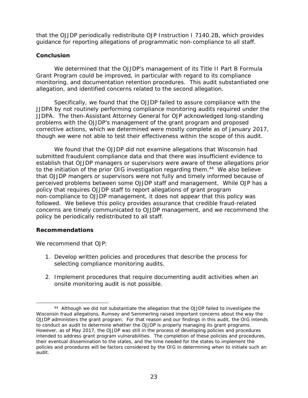<span id="page-27-0"></span>that the OJJDP periodically redistribute OJP Instruction I 7140.2B, which provides guidance for reporting allegations of programmatic non-compliance to all staff.

# **Conclusion**

 Grant Program could be improved, in particular with regard to its compliance We determined that the OJJDP's management of its Title II Part B Formula monitoring, and documentation retention procedures. This audit substantiated one allegation, and identified concerns related to the second allegation.

Specifically, we found that the OJJDP failed to assure compliance with the JJDPA by not routinely performing compliance monitoring audits required under the JJDPA. The then-Assistant Attorney General for OJP acknowledged long-standing problems with the OJJDP's management of the grant program and proposed corrective actions, which we determined were mostly complete as of January 2017, though we were not able to test their effectiveness within the scope of this audit.

We found that the OJJDP did not examine allegations that Wisconsin had submitted fraudulent compliance data and that there was insufficient evidence to establish that OJJDP managers or supervisors were aware of these allegations prior to the initiation of the prior OIG investigation regarding them.<sup>44</sup> We also believe that OJJDP mangers or supervisors were not fully and timely informed because of perceived problems between some OJJDP staff and management. While OJP has a policy that requires OJJDP staff to report allegations of grant program non-compliance to OJJDP management, it does not appear that this policy was followed. We believe this policy provides assurance that credible fraud-related concerns are timely communicated to OJJDP management, and we recommend the policy be periodically redistributed to all staff.

# **Recommendations**

We recommend that OJP:

- 1. Develop written policies and procedures that describe the process for selecting compliance monitoring audits.
- 2. Implement procedures that require documenting audit activities when an onsite monitoring audit is not possible.

<sup>-</sup>44 Although we did not substantiate the allegation that the OJJDP failed to investigate the Wisconsin fraud allegations, Rumsey and Semmerling raised important concerns about the way the OJJDP administers the grant program. For that reason and our findings in this audit, the OIG intends to conduct an audit to determine whether the OJJDP is properly managing its grant programs. However, as of May 2017, the OJJDP was still in the process of developing policies and procedures intended to address grant program vulnerabilities. The completion of these policies and procedures, their eventual dissemination to the states, and the time needed for the states to implement the policies and procedures will be factors considered by the OIG in determining when to initiate such an audit.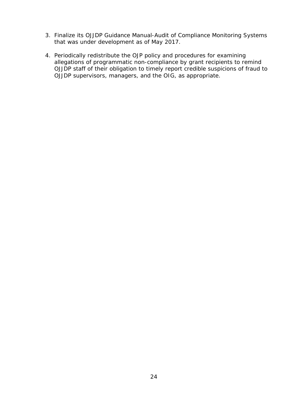- 3. Finalize its OJJDP Guidance Manual-Audit of Compliance Monitoring Systems that was under development as of May 2017.
- 4. Periodically redistribute the OJP policy and procedures for examining allegations of programmatic non-compliance by grant recipients to remind OJJDP staff of their obligation to timely report credible suspicions of fraud to OJJDP supervisors, managers, and the OIG, as appropriate.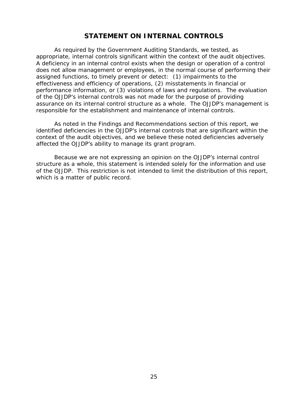# **STATEMENT ON INTERNAL CONTROLS**

<span id="page-29-0"></span>As required by the *Government Auditing Standards*, we tested, as appropriate, internal controls significant within the context of the audit objectives. A deficiency in an internal control exists when the design or operation of a control does not allow management or employees, in the normal course of performing their assigned functions, to timely prevent or detect: (1) impairments to the effectiveness and efficiency of operations, (2) misstatements in financial or performance information, or (3) violations of laws and regulations. The evaluation of the OJJDP's internal controls was not made for the purpose of providing assurance on its internal control structure as a whole. The OJJDP's management is responsible for the establishment and maintenance of internal controls.

 affected the OJJDP's ability to manage its grant program. As noted in the Findings and Recommendations section of this report, we identified deficiencies in the OJJDP's internal controls that are significant within the context of the audit objectives, and we believe these noted deficiencies adversely

 which is a matter of public record. Because we are not expressing an opinion on the OJJDP's internal control structure as a whole, this statement is intended solely for the information and use of the OJJDP. This restriction is not intended to limit the distribution of this report,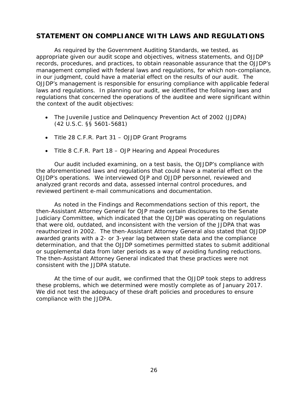# <span id="page-30-0"></span>**STATEMENT ON COMPLIANCE WITH LAWS AND REGULATIONS**

As required by the *Government Auditing Standards*, we tested, as appropriate given our audit scope and objectives, witness statements, and OJJDP records, procedures, and practices, to obtain reasonable assurance that the OJJDP's management complied with federal laws and regulations, for which non-compliance, in our judgment, could have a material effect on the results of our audit. The OJJDP's management is responsible for ensuring compliance with applicable federal laws and regulations. In planning our audit, we identified the following laws and regulations that concerned the operations of the auditee and were significant within the context of the audit objectives:

- The Juvenile Justice and Delinquency Prevention Act of 2002 (JJDPA) (42 U.S.C. §§ 5601-5681)
- Title 28 C.F.R. Part 31 OJJDP Grant Programs
- Title 8 C.F.R. Part 18 OJP Hearing and Appeal Procedures

reviewed pertinent e-mail communications and documentation. Our audit included examining, on a test basis, the OJJDP's compliance with the aforementioned laws and regulations that could have a material effect on the OJJDP's operations. We interviewed OJP and OJJDP personnel, reviewed and analyzed grant records and data, assessed internal control procedures, and

As noted in the Findings and Recommendations section of this report, the then-Assistant Attorney General for OJP made certain disclosures to the Senate Judiciary Committee, which indicated that the OJJDP was operating on regulations that were old, outdated, and inconsistent with the version of the JJDPA that was reauthorized in 2002. The then-Assistant Attorney General also stated that OJJDP awarded grants with a 2- or 3-year lag between state data and the compliance determination, and that the OJJDP sometimes permitted states to submit additional or supplemental data from later periods as a way of avoiding funding reductions. The then-Assistant Attorney General indicated that these practices were not consistent with the JJDPA statute.

 compliance with the JJDPA. At the time of our audit, we confirmed that the OJJDP took steps to address these problems, which we determined were mostly complete as of January 2017. We did not test the adequacy of these draft policies and procedures to ensure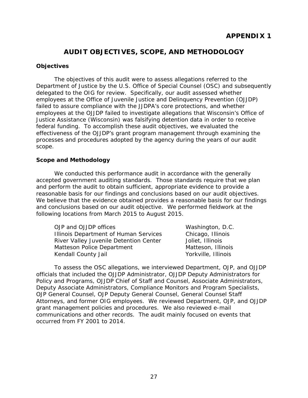# **AUDIT OBJECTIVES, SCOPE, AND METHODOLOGY**

# <span id="page-31-0"></span>**Objectives**

 employees at the OJJDP failed to investigate allegations that Wisconsin's Office of The objectives of this audit were to assess allegations referred to the Department of Justice by the U.S. Office of Special Counsel (OSC) and subsequently delegated to the OIG for review. Specifically, our audit assessed whether employees at the Office of Juvenile Justice and Delinquency Prevention (OJJDP) failed to assure compliance with the JJDPA's core protections, and whether Justice Assistance (Wisconsin) was falsifying detention data in order to receive federal funding. To accomplish these audit objectives, we evaluated the effectiveness of the OJJDP's grant program management through examining the processes and procedures adopted by the agency during the years of our audit scope.

## **Scope and Methodology**

 We conducted this performance audit in accordance with the *generally accepted government auditing standards*. Those standards require that we plan and perform the audit to obtain sufficient, appropriate evidence to provide a reasonable basis for our findings and conclusions based on our audit objectives. We believe that the evidence obtained provides a reasonable basis for our findings and conclusions based on our audit objective. We performed fieldwork at the following locations from March 2015 to August 2015.

| OJP and OJJDP offices                  | Washington, D.C.    |
|----------------------------------------|---------------------|
| Illinois Department of Human Services  | Chicago, Illinois   |
| River Valley Juvenile Detention Center | Joliet, Illinois    |
| Matteson Police Department             | Matteson, Illinois  |
| Kendall County Jail                    | Yorkville, Illinois |

 communications and other records. The audit mainly focused on events that To assess the OSC allegations, we interviewed Department, OJP, and OJJDP officials that included the OJJDP Administrator, OJJDP Deputy Administrators for Policy and Programs, OJJDP Chief of Staff and Counsel, Associate Administrators, Deputy Associate Administrators, Compliance Monitors and Program Specialists, OJP General Counsel, OJP Deputy General Counsel, General Counsel Staff Attorneys, and former OIG employees. We reviewed Department, OJP, and OJJDP grant management policies and procedures. We also reviewed e-mail occurred from FY 2001 to 2014.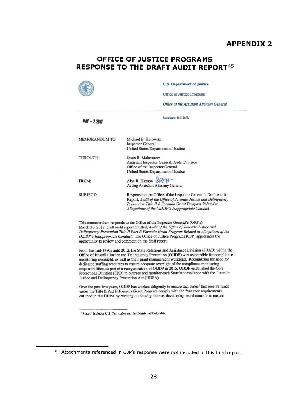# APPENDIX 2

# OFFICE OF JUSTICE PROGRAMS RESPONSE TO THE DRAFT AUDIT REPORT45



#### U.S. Department of Justice

Office of Justice Programs

*Office of the Assistant Attorney General* 

#### $MAY - 22917$ .

Washington, D.C. 20531

| <b>MEMORANDUM TO:</b> | Michael E. Horowitz                                             |
|-----------------------|-----------------------------------------------------------------|
|                       | <b>Inspector General</b>                                        |
|                       | United States Department of Justice                             |
| THROUGH:              | Jason R. Malmstrom                                              |
|                       | Assistant Inspector General, Audit Division                     |
|                       | Office of the Inspector General                                 |
|                       | United States Department of Justice                             |
| FROM:                 | Alan R. Hanson $\mathbb{Z}$                                     |
|                       | <b>Acting Assistant Attorney General</b>                        |
| <b>SUBJECT:</b>       | Response to the Office of the Inspector General's Draft Audit   |
|                       | Report, Audit of the Office of Juvenile Justice and Delinquency |
|                       | Prevention Title II B Formula Grant Program Related to          |
|                       | Allegations of the OJJDP's Inappropriate Conduct                |

This memorandum responds to the Office of the Inspector General's (OIG's) March 30, 2017, draft audit report entitled, Audit of the Office of Juvenile Justice and Delinquency Prevention Title II Part B Formula Grant Program Related to Allegations of the *OJJDP's Inappropriate Conduct.* The Office of Justice Programs (OJP) appreciates the opportunity to review and comment on the draft report.

From the mid-1980s until 2012, the State Relations and Assistance Division (SRAD) within the Office of Juvenile Justice and Delinquency Prevention (OJJDP) was responsible for compliance monitoring oversight, as well as their grant management workload. Recognizing the need for dedicated staffing resources to ensure adequate oversight of the compliance monitoring responsibilities, as part of a reorganization of OJJDP in 2015, OJJDP established the Core Protections Division (CPD) to oversee and monitor each State's compliance with the Juvenile Justice and Delinquency Prevention Act (JJDPA).

Over the past two years, OJJDP has worked diligently to ensure that states<sup>1</sup> that receive funds under the Title II Part B Formula Grant Program comply with the four core requirements outlined in the JJDPA by revising outdated guidance, developing sound controls to ensure

<sup>&</sup>lt;sup>1</sup> "States" includes U.S. Territories and the District of Columbia.

<sup>45</sup> Attachments referenced in OJP's response were not included in this final report.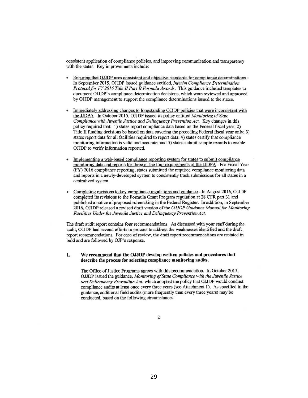consistent application of compliance policies, and improving communication and transparency with the states. Key improvements include:

- Ensuring that OJJDP uses consistent and objective standards for compliance determinations -In September 2015, OJJDP issued guidance entitled, *Interim Compljance Determination*  Protocol for FY 2016 Title II Part B Formula Awards. This guidance included templates to document OJJDP's compliance determination decisions, which were reviewed and approved by OJJDP management to support the compliance determinations issued to the states.
- Immediatcly addressing changes to longstanding OJJDP policies that were inconsistent with the JJDPA - In October 2015, OJJDP issued its policy entitled *Monitoring of State Compliance with Juvenile Justice and Delinquency Prevention Act.* Key changes in this policy required that: I) states report compliance data based on the Fcderal fiscal year; 2) Title II funding decisions be based on data covering thc preceding Federal fiscal year only; 3) states report data for all facilities required to report data; 4) states certify that compliance monitoring information is valid and accurate; and 5) states submit sample records to enable OJJDP to verify information reported.
- Implementing a web-based compliance reporting system for states to submit compliance monitoring data and reports for three of the four requirements of the JJDPA - For Fiscal Year (Fy) 2016 compliance reporting, states submitted the required compliance monitoring data and reports in a newly-developed system to consistently traek submissions for all states in a centralized system.
- Completing revisions to key compliance regulations and guidance In August 2016, OJJDP completed its revisions to the Formula Grant Program regulation at 28 CFR part 31 and published a notice of proposed rulemaking in the Federal Register. Tn addition, in September 2016, OJJDP released a revised draft version of the *QJJDP Guidance Manual/or Monitoring*  Facilities Under the Juvenile Justice and Delinquency Prevention Act.

The draft audit report contains four recommendations. As discussed with your staff during the audit, OJJDP had several efforts in process to address the weaknesses identified and the draft report recommendations. For ease of review, the draft report reconunendations are restated in bold and are followed by OJP's response.

#### 1. We recommend that tbe OJJDP develop written policies and procedures that describe the process for selecting compliance monitoring audits.

The Office of Justice Programs agrees with this recommendation. Tn October 2015, OJJDP issued the guidance, *Monitoring o/Stale Compliance with Ihe Juvenile Justice and Delinquency Prevention Act,* which adopted the policy that OJJDP would conduct compliance audits at least oncc every three years (see Attachment I). As specified in the guidance, additional field audits (more frcquently than every three years) may be conducted, based on the following circumstances:

2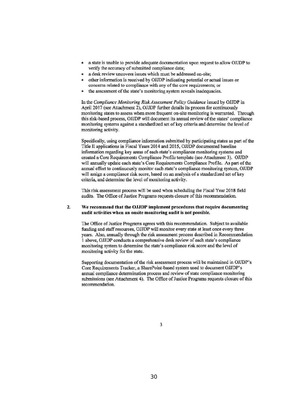- a state is unable to provide adequate documentation upon request to allow OJJDP to verify the accuracy of submitted compliance data;
- a desk review uncovers issues which must be addressed on-site;
- other infonnation is received by OJJDP indicating potential or aetual issues or concerns related to compliance with any of the core requirements; or
- the assessment of the state's monitoring system reveals inadequacies.

In the *Compliance Monitoring Risk Assessment Policy Guidance* issued by OJJDP in April 2017 (see Attachment 2), OJJDP further details its process for continuously monitoring states to assess when more frequent on-site monitoring is warranted. Through this risk-based process, OJJDP will document its annual review of the states' compliance monitoring systems against a standardized set of key criteria and determine the level of monitoring activity.

Specifically, using compliance information submitted by participating states as part of the Title II applications in Fiscal Years 2014 and 2015, OJJDP documented baseline information regarding key areas of each state's compliance monitoring systems and created a Core Requirements Compliance Profile template (see Attachment 3). OJJDP will annually update each state's Core Requirements Compliance Profile. As part of the annual effort to continuously monitor each state's compliance monitoring system, OJJDP will assign a compliance risk score, based on an analysis of a standardized set of key criteria, and detennine the level of monitoring activity.

This risk assessment process will be used when scheduling the Fiscal Year 2018 field audits. The Office of Justice Programs requests closure of this reconuncndation.

#### 2, We recommend that the OJJDP implement procedures that require documenting audit aetiyities when an onsite monitoring audit is not possible.

The Offiee of Justice Programs agrees with this recommendation. Subject to available funding and staff resources, OJJDP will monitor every state at least onee every three years. Also, annually through the risk assessment process described in Recommendation I above, OJJDP conducts a comprehensive desk review of each state's compliance monitoring system to determine the state's compliance risk score and the level of monitoring activity for the state.

Supporting docwnentation of the risk assessment process will be maintained in OJJDP's Core Requirements Tracker, a SharePoint-based system used to document OJJDP's annual compliance determination process and review of state compliance monitoring submissions (see Attachment 4). The Office of Justice Programs requests closure of this recommendation.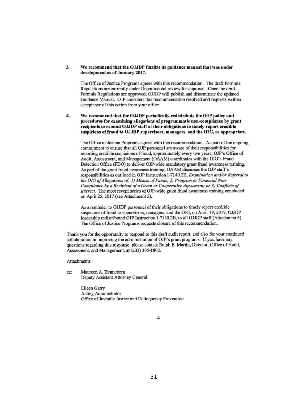#### 3. We recommend that the OJJDP finalize its guidance manual that was under development as of January 2017.

The Office of Justice Programs agrees with this recommendation. The draft Formula Regulations arc currently under Departmental review for approval. Once the draft Fonnula Regulations are approved, OJJDP will publish and disseminate the updated Guidance Manual. OJP considers this recommendation resolved and requests written acceptance of this action from your office.

#### 4. We recommend that the OJJDP periodically redistribute the OJP policy and procedures for examining allegations of programmatic non-compliance by grant recipients to remind OJJDP staff of their obligations to timely report credible suspicions of fraud to OJJDP supervisors, managers, and the OIG, as appropriate.

The Office of Justice Programs agrees with this recommendation. As part of the ongoing commitment to ensure that all OIP personnel are aware of their responsibilities for reporting credible suspicions of fraud, approximately every two years, OJP's Office of Audit, Assessment, and Management (OAAM) coordinates with the OIG's Fraud Detection Office (FDO) to deliver OJP-wide mandatory grant fraud awareness training. As part of the grant fraud awareness training, OAAM discusses the OIP staff's responsibilities as outlined in OIP Instruction 1-7140.28, *Examinalion and/or Referral 10*  the OIG of Allegations of: 1) Misuse of Funds; 2) Program or Financial Non-*Compliance by a Recipient of a Grant or Cooperative Agreement; or 3) Conflicts of Interest*. The most recent series of OJP-wide grant fraud awareness training concluded on April 25, 2017 (see Attachment 5).

As a reminder to OJJDP personnel of their obligations to timely report credible suspicions of fraud to supervisors, managers, and the OIG, on April 19, 2017, OJJDP leadership redistributed OlP Instruction 1-7140.28 , to all OJJDP staff (Attachment 6). The Office of Justice Programs requests closure of this recommendation.

Thank you for the opportunity to respond to this draft audit report, and also for your continued collaboration in improving the administration of OJP's grant programs. If you have any questions regarding this response, please contact Ralph E. Martin, Director, Office of Audit, Assessment, and Management, at (202) 305·1802.

#### Attachments

cc: Maureen A. Henneberg Deputy Assistant Attorney General

> Eileen Garry Acting Administrator Office of Juvenile Justice and Delinquency Prevention

> > 4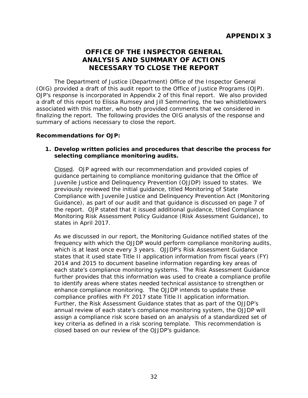# **OFFICE OF THE INSPECTOR GENERAL ANALYSIS AND SUMMARY OF ACTIONS NECESSARY TO CLOSE THE REPORT**

<span id="page-36-0"></span>The Department of Justice (Department) Office of the Inspector General (OIG) provided a draft of this audit report to the Office of Justice Programs (OJP). OJP's response is incorporated in Appendix 2 of this final report. We also provided a draft of this report to Elissa Rumsey and Jill Semmerling, the two whistleblowers associated with this matter, who both provided comments that we considered in finalizing the report. The following provides the OIG analysis of the response and summary of actions necessary to close the report.

## **Recommendations for OJP:**

## **1. Develop written policies and procedures that describe the process for selecting compliance monitoring audits.**

Closed. OJP agreed with our recommendation and provided copies of guidance pertaining to compliance monitoring guidance that the Office of Juvenile Justice and Delinquency Prevention (OJJDP) issued to states. We previously reviewed the initial guidance, titled Monitoring of State Compliance with Juvenile Justice and Delinquency Prevention Act (Monitoring Guidance), as part of our audit and that guidance is discussed on page 7 of the report. OJP stated that it issued additional guidance, titled Compliance Monitoring Risk Assessment Policy Guidance (Risk Assessment Guidance), to states in April 2017.

 compliance profiles with FY 2017 state Title II application information. assign a compliance risk score based on an analysis of a standardized set of As we discussed in our report, the Monitoring Guidance notified states of the frequency with which the OJJDP would perform compliance monitoring audits, which is at least once every 3 years. OJJDP's Risk Assessment Guidance states that it used state Title II application information from fiscal years (FY) 2014 and 2015 to document baseline information regarding key areas of each state's compliance monitoring systems. The Risk Assessment Guidance further provides that this information was used to create a compliance profile to identify areas where states needed technical assistance to strengthen or enhance compliance monitoring. The OJJDP intends to update these Further, the Risk Assessment Guidance states that as part of the OJJDP's annual review of each state's compliance monitoring system, the OJJDP will key criteria as defined in a risk scoring template. This recommendation is closed based on our review of the OJJDP's guidance.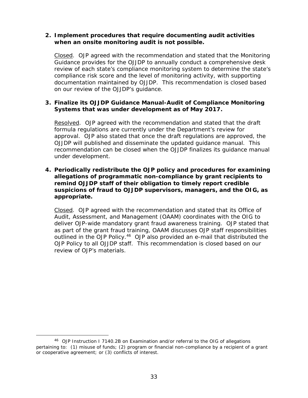## **when an onsite monitoring audit is not possible. 2. Implement procedures that require documenting audit activities**

 documentation maintained by OJJDP. This recommendation is closed based on our review of the OJJDP's guidance. Closed. OJP agreed with the recommendation and stated that the Monitoring Guidance provides for the OJJDP to annually conduct a comprehensive desk review of each state's compliance monitoring system to determine the state's compliance risk score and the level of monitoring activity, with supporting

# **3. Finalize its OJJDP Guidance Manual-Audit of Compliance Monitoring Systems that was under development as of May 2017.**

 recommendation can be closed when the OJJDP finalizes its guidance manual Resolved. OJP agreed with the recommendation and stated that the draft formula regulations are currently under the Department's review for approval. OJP also stated that once the draft regulations are approved, the OJJDP will published and disseminate the updated guidance manual. This under development.

# **4. Periodically redistribute the OJP policy and procedures for examining allegations of programmatic non-compliance by grant recipients to remind OJJDP staff of their obligation to timely report credible suspicions of fraud to OJJDP supervisors, managers, and the OIG, as appropriate.**

review of OJP's materials. Closed. OJP agreed with the recommendation and stated that its Office of Audit, Assessment, and Management (OAAM) coordinates with the OIG to deliver OJP-wide mandatory grant fraud awareness training. OJP stated that as part of the grant fraud training, OAAM discusses OJP staff responsibilities outlined in the OJP Policy.<sup>46</sup> OJP also provided an e-mail that distributed the OJP Policy to all OJJDP staff. This recommendation is closed based on our review of OJP's materials.<br>
46 OJP Instruction I 7140.2B on Examination and/or referral to the OIG of allegations

-

<sup>&</sup>lt;sup>46</sup> OJP Instruction I 7140.2B on Examination and/or referral to the OIG of allegations pertaining to: (1) misuse of funds; (2) program or financial non-compliance by a recipient of a grant or cooperative agreement; or (3) conflicts of interest.